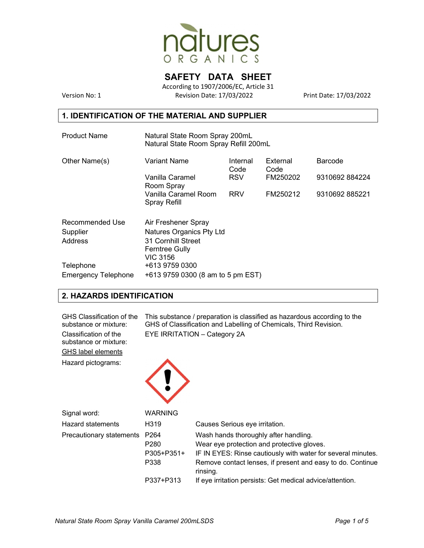

# **SAFETY DATA SHEET**

According to 1907/2006/EC, Article 31 Version No: 1 Revision Date: 17/03/2022 Print Date: 17/03/2022

#### **1. IDENTIFICATION OF THE MATERIAL AND SUPPLIER**

| <b>Product Name</b>        | Natural State Room Spray 200mL<br>Natural State Room Spray Refill 200mL |                  |                  |               |  |  |
|----------------------------|-------------------------------------------------------------------------|------------------|------------------|---------------|--|--|
| Other Name(s)              | Variant Name                                                            | Internal<br>Code | External<br>Code | Barcode       |  |  |
|                            | Vanilla Caramel<br>Room Spray                                           | <b>RSV</b>       | FM250202         | 9310692884224 |  |  |
|                            | Vanilla Caramel Room<br>Spray Refill                                    | <b>RRV</b>       | FM250212         | 9310692885221 |  |  |
| Recommended Use            | Air Freshener Spray                                                     |                  |                  |               |  |  |
| Supplier                   | Natures Organics Pty Ltd                                                |                  |                  |               |  |  |
| Address                    | 31 Cornhill Street                                                      |                  |                  |               |  |  |
|                            | <b>Ferntree Gully</b>                                                   |                  |                  |               |  |  |
|                            | <b>VIC 3156</b>                                                         |                  |                  |               |  |  |
| Telephone                  | +613 9759 0300                                                          |                  |                  |               |  |  |
| <b>Emergency Telephone</b> | +613 9759 0300 (8 am to 5 pm EST)                                       |                  |                  |               |  |  |

### **2. HAZARDS IDENTIFICATION**

| GHS Classification of the<br>substance or mixture:<br>Classification of the<br>substance or mixture:<br><b>GHS label elements</b> | This substance / preparation is classified as hazardous according to the<br>GHS of Classification and Labelling of Chemicals, Third Revision.<br>EYE IRRITATION - Category 2A |                                                                                                                                                                                                                               |
|-----------------------------------------------------------------------------------------------------------------------------------|-------------------------------------------------------------------------------------------------------------------------------------------------------------------------------|-------------------------------------------------------------------------------------------------------------------------------------------------------------------------------------------------------------------------------|
| Hazard pictograms:                                                                                                                |                                                                                                                                                                               |                                                                                                                                                                                                                               |
| Signal word:                                                                                                                      | WARNING                                                                                                                                                                       |                                                                                                                                                                                                                               |
| <b>Hazard statements</b>                                                                                                          | H319                                                                                                                                                                          | Causes Serious eye irritation.                                                                                                                                                                                                |
| Precautionary statements                                                                                                          | P <sub>264</sub><br>P <sub>280</sub><br>P305+P351+<br>P338                                                                                                                    | Wash hands thoroughly after handling.<br>Wear eye protection and protective gloves.<br>IF IN EYES: Rinse cautiously with water for several minutes.<br>Remove contact lenses, if present and easy to do. Continue<br>rinsing. |
|                                                                                                                                   | P337+P313                                                                                                                                                                     | If eye irritation persists: Get medical advice/attention.                                                                                                                                                                     |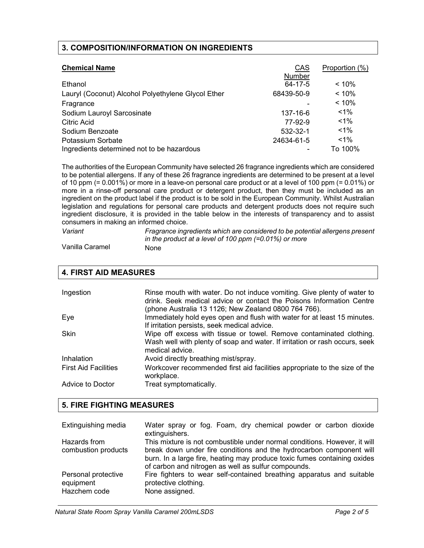### **3. COMPOSITION/INFORMATION ON INGREDIENTS**

| <b>Chemical Name</b>                               | CAS<br>Number | Proportion (%) |
|----------------------------------------------------|---------------|----------------|
| Ethanol                                            | 64-17-5       | $< 10\%$       |
| Lauryl (Coconut) Alcohol Polyethylene Glycol Ether | 68439-50-9    | < 10%          |
| Fragrance                                          |               | < 10%          |
| Sodium Lauroyl Sarcosinate                         | 137-16-6      | $< 1\%$        |
| <b>Citric Acid</b>                                 | 77-92-9       | $1\%$          |
| Sodium Benzoate                                    | 532-32-1      | $1\%$          |
| Potassium Sorbate                                  | 24634-61-5    | $1\%$          |
| Ingredients determined not to be hazardous         |               | To 100%        |

The authorities of the European Community have selected 26 fragrance ingredients which are considered to be potential allergens. If any of these 26 fragrance ingredients are determined to be present at a level of 10 ppm (= 0.001%) or more in a leave-on personal care product or at a level of 100 ppm (= 0.01%) or more in a rinse-off personal care product or detergent product, then they must be included as an ingredient on the product label if the product is to be sold in the European Community. Whilst Australian legislation and regulations for personal care products and detergent products does not require such ingredient disclosure, it is provided in the table below in the interests of transparency and to assist consumers in making an informed choice.

| Variant         | Fragrance ingredients which are considered to be potential allergens present |
|-----------------|------------------------------------------------------------------------------|
|                 | in the product at a level of 100 ppm $(=0.01\%)$ or more                     |
| Vanilla Caramel | None                                                                         |

| <b>4. FIRST AID MEASURES</b> |                                                                                                                                                                                                         |  |
|------------------------------|---------------------------------------------------------------------------------------------------------------------------------------------------------------------------------------------------------|--|
|                              |                                                                                                                                                                                                         |  |
| Ingestion                    | Rinse mouth with water. Do not induce vomiting. Give plenty of water to<br>drink. Seek medical advice or contact the Poisons Information Centre<br>(phone Australia 13 1126; New Zealand 0800 764 766). |  |
| Eye                          | Immediately hold eyes open and flush with water for at least 15 minutes.<br>If irritation persists, seek medical advice.                                                                                |  |
| <b>Skin</b>                  | Wipe off excess with tissue or towel. Remove contaminated clothing.<br>Wash well with plenty of soap and water. If irritation or rash occurs, seek<br>medical advice.                                   |  |
| Inhalation                   | Avoid directly breathing mist/spray.                                                                                                                                                                    |  |
| <b>First Aid Facilities</b>  | Workcover recommended first aid facilities appropriate to the size of the<br>workplace.                                                                                                                 |  |
| Advice to Doctor             | Treat symptomatically.                                                                                                                                                                                  |  |

### **5. FIRE FIGHTING MEASURES**

| Extinguishing media                              | Water spray or fog. Foam, dry chemical powder or carbon dioxide<br>extinguishers.                                                                                                                                                                                                   |
|--------------------------------------------------|-------------------------------------------------------------------------------------------------------------------------------------------------------------------------------------------------------------------------------------------------------------------------------------|
| Hazards from<br>combustion products              | This mixture is not combustible under normal conditions. However, it will<br>break down under fire conditions and the hydrocarbon component will<br>burn. In a large fire, heating may produce toxic fumes containing oxides<br>of carbon and nitrogen as well as sulfur compounds. |
| Personal protective<br>equipment<br>Hazchem code | Fire fighters to wear self-contained breathing apparatus and suitable<br>protective clothing.<br>None assigned.                                                                                                                                                                     |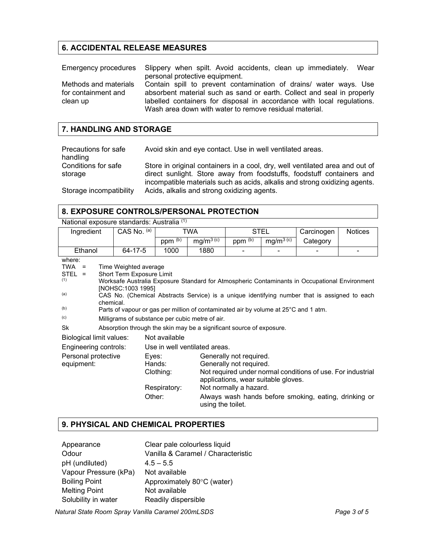# **6. ACCIDENTAL RELEASE MEASURES**

|                                              | Emergency procedures Slippery when spilt. Avoid accidents, clean up immediately. Wear                                                       |
|----------------------------------------------|---------------------------------------------------------------------------------------------------------------------------------------------|
|                                              | personal protective equipment.                                                                                                              |
| Methods and materials<br>for containment and | Contain spill to prevent contamination of drains/ water ways. Use<br>absorbent material such as sand or earth. Collect and seal in properly |
| clean up                                     | labelled containers for disposal in accordance with local regulations.<br>Wash area down with water to remove residual material.            |

#### **7. HANDLING AND STORAGE**

| Precautions for safe           | Avoid skin and eye contact. Use in well ventilated areas.                                                                                                                                                                           |
|--------------------------------|-------------------------------------------------------------------------------------------------------------------------------------------------------------------------------------------------------------------------------------|
| handling                       |                                                                                                                                                                                                                                     |
| Conditions for safe<br>storage | Store in original containers in a cool, dry, well ventilated area and out of<br>direct sunlight. Store away from foodstuffs, foodstuff containers and<br>incompatible materials such as acids, alkalis and strong oxidizing agents. |
| Storage incompatibility        | Acids, alkalis and strong oxidizing agents.                                                                                                                                                                                         |

# **8. EXPOSURE CONTROLS/PERSONAL PROTECTION**

|                                                                          | National exposure standards: Australia (1)                                                                                                                                                                                                                                                                                                                                                                                      |                 |                                     |                         |                                                                                                                     |                       |                                                                                                                      |                |
|--------------------------------------------------------------------------|---------------------------------------------------------------------------------------------------------------------------------------------------------------------------------------------------------------------------------------------------------------------------------------------------------------------------------------------------------------------------------------------------------------------------------|-----------------|-------------------------------------|-------------------------|---------------------------------------------------------------------------------------------------------------------|-----------------------|----------------------------------------------------------------------------------------------------------------------|----------------|
| Ingredient                                                               |                                                                                                                                                                                                                                                                                                                                                                                                                                 | CAS No. (a)     | TWA                                 |                         |                                                                                                                     | STEL                  |                                                                                                                      | <b>Notices</b> |
|                                                                          |                                                                                                                                                                                                                                                                                                                                                                                                                                 |                 | ppm $\overline{^{(b)}}$             | $mg/m^{\frac{1}{3(c)}}$ | $ppm^{(b)}$                                                                                                         | mg/m <sup>3 (c)</sup> | Category                                                                                                             |                |
| Ethanol                                                                  |                                                                                                                                                                                                                                                                                                                                                                                                                                 | 64-17-5         | 1000                                | 1880                    |                                                                                                                     |                       |                                                                                                                      |                |
| where:<br><b>TWA</b><br>$\equiv$<br>$STEL =$<br>(1)<br>(a)<br>(b)<br>(c) | Time Weighted average<br>Short Term Exposure Limit<br>Worksafe Australia Exposure Standard for Atmospheric Contaminants in Occupational Environment<br>[NOHSC:1003 1995]<br>CAS No. (Chemical Abstracts Service) is a unique identifying number that is assigned to each<br>chemical.<br>Parts of vapour or gas per million of contaminated air by volume at 25°C and 1 atm.<br>Milligrams of substance per cubic metre of air. |                 |                                     |                         |                                                                                                                     |                       |                                                                                                                      |                |
| Sk                                                                       | Absorption through the skin may be a significant source of exposure.                                                                                                                                                                                                                                                                                                                                                            |                 |                                     |                         |                                                                                                                     |                       |                                                                                                                      |                |
| <b>Biological limit values:</b><br>Not available                         |                                                                                                                                                                                                                                                                                                                                                                                                                                 |                 |                                     |                         |                                                                                                                     |                       |                                                                                                                      |                |
| Engineering controls:                                                    |                                                                                                                                                                                                                                                                                                                                                                                                                                 |                 | Use in well ventilated areas.       |                         |                                                                                                                     |                       |                                                                                                                      |                |
| Personal protective<br>equipment:                                        |                                                                                                                                                                                                                                                                                                                                                                                                                                 | Eyes:<br>Other: | Hands:<br>Clothing:<br>Respiratory: | using the toilet.       | Generally not required.<br>Generally not required.<br>applications, wear suitable gloves.<br>Not normally a hazard. |                       | Not required under normal conditions of use. For industrial<br>Always wash hands before smoking, eating, drinking or |                |

# **9. PHYSICAL AND CHEMICAL PROPERTIES**

| Appearance            | Clear pale colourless liquid       |
|-----------------------|------------------------------------|
| Odour                 | Vanilla & Caramel / Characteristic |
| pH (undiluted)        | $4.5 - 5.5$                        |
| Vapour Pressure (kPa) | Not available                      |
| <b>Boiling Point</b>  | Approximately 80°C (water)         |
| <b>Melting Point</b>  | Not available                      |
| Solubility in water   | Readily dispersible                |
|                       |                                    |

*Natural State Room Spray Vanilla Caramel 200mLSDS Page 3 of 5*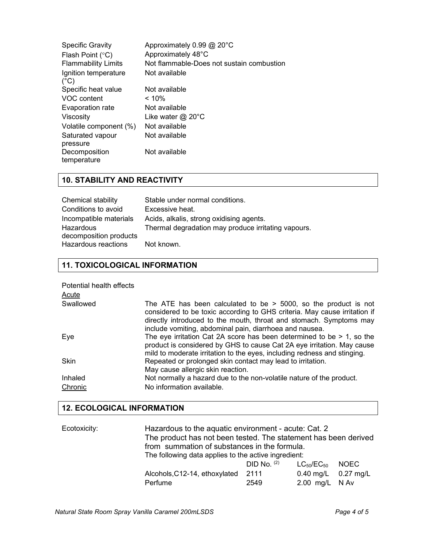| <b>Specific Gravity</b><br>Flash Point $(°C)$<br><b>Flammability Limits</b> | Approximately 0.99 @ 20°C<br>Approximately 48°C<br>Not flammable-Does not sustain combustion |
|-----------------------------------------------------------------------------|----------------------------------------------------------------------------------------------|
| Ignition temperature<br>$(^{\circ}C)$                                       | Not available                                                                                |
| Specific heat value                                                         | Not available                                                                                |
| VOC content                                                                 | $~10\%$                                                                                      |
| Evaporation rate                                                            | Not available                                                                                |
| Viscosity                                                                   | Like water $@$ 20 $°C$                                                                       |
| Volatile component (%)                                                      | Not available                                                                                |
| Saturated vapour                                                            | Not available                                                                                |
| pressure                                                                    |                                                                                              |
| Decomposition<br>temperature                                                | Not available                                                                                |

# **10. STABILITY AND REACTIVITY**

| Chemical stability     | Stable under normal conditions.                     |
|------------------------|-----------------------------------------------------|
| Conditions to avoid    | Excessive heat.                                     |
| Incompatible materials | Acids, alkalis, strong oxidising agents.            |
| Hazardous              | Thermal degradation may produce irritating vapours. |
| decomposition products |                                                     |
| Hazardous reactions    | Not known.                                          |

### **11. TOXICOLOGICAL INFORMATION**

| Potential health effects<br>Acute |                                                                                                                                                                                                                                                                                 |
|-----------------------------------|---------------------------------------------------------------------------------------------------------------------------------------------------------------------------------------------------------------------------------------------------------------------------------|
| Swallowed                         | The ATE has been calculated to be $>$ 5000, so the product is not<br>considered to be toxic according to GHS criteria. May cause irritation if<br>directly introduced to the mouth, throat and stomach. Symptoms may<br>include vomiting, abdominal pain, diarrhoea and nausea. |
| Eye                               | The eye irritation Cat 2A score has been determined to be $> 1$ , so the<br>product is considered by GHS to cause Cat 2A eye irritation. May cause<br>mild to moderate irritation to the eyes, including redness and stinging.                                                  |
| <b>Skin</b>                       | Repeated or prolonged skin contact may lead to irritation.<br>May cause allergic skin reaction.                                                                                                                                                                                 |
| Inhaled                           | Not normally a hazard due to the non-volatile nature of the product.                                                                                                                                                                                                            |
| Chronic                           | No information available.                                                                                                                                                                                                                                                       |

## **12. ECOLOGICAL INFORMATION**

| Ecotoxicity: | Hazardous to the aquatic environment - acute: Cat. 2<br>The product has not been tested. The statement has been derived<br>from summation of substances in the formula.<br>The following data applies to the active ingredient: |               |                         |       |
|--------------|---------------------------------------------------------------------------------------------------------------------------------------------------------------------------------------------------------------------------------|---------------|-------------------------|-------|
|              |                                                                                                                                                                                                                                 | DID No. $(2)$ | $LG_{50}/EC_{50}$       | NOEC. |
|              | Alcohols, C12-14, ethoxylated 2111                                                                                                                                                                                              |               | $0.40$ mg/L $0.27$ mg/L |       |
|              | Perfume                                                                                                                                                                                                                         | 2549          | 2.00 mg/L N Av          |       |